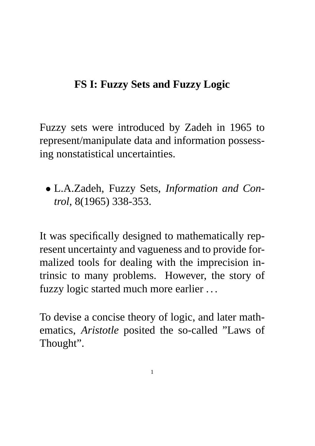## **FS I: Fuzzy Sets and Fuzzy Logic**

Fuzzy sets were introduced by Zadeh in 1965 to represent/manipulate data and information possessing nonstatistical uncertainties.

• L.A.Zadeh, Fuzzy Sets, *Information and Control*, 8(1965) 338-353.

It was specifically designed to mathematically represent uncertainty and vagueness and to provide formalized tools for dealing with the imprecision intrinsic to many problems. However, the story of fuzzy logic started much more earlier . . .

To devise a concise theory of logic, and later mathematics, *Aristotle* posited the so-called "Laws of Thought".

1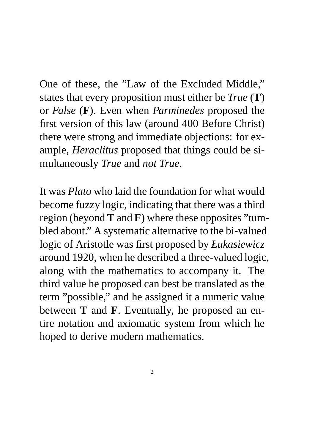One of these, the "Law of the Excluded Middle," states that every proposition must either be *True* (**T**) or *False* (**F**). Even when *Parminedes* proposed the first version of this law (around 400 Before Christ) there were strong and immediate objections: for example, *Heraclitus* proposed that things could be simultaneously *True* and *not True*.

It was *Plato* who laid the foundation for what would become fuzzy logic, indicating that there was a third region (beyond **T** and **F**) where these opposites "tumbled about." A systematic alternative to the bi-valued logic of Aristotle was first proposed by *Łukasiewicz* around 1920, when he described a three-valued logic, along with the mathematics to accompany it. The third value he proposed can best be translated as the term "possible," and he assigned it a numeric value between **T** and **F**. Eventually, he proposed an entire notation and axiomatic system from which he hoped to derive modern mathematics.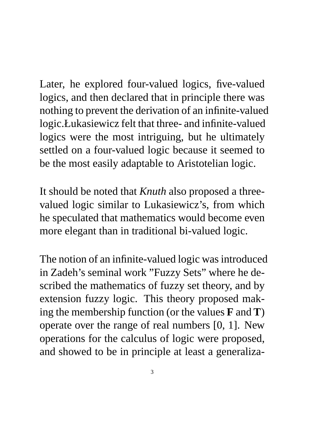Later, he explored four-valued logics, five-valued logics, and then declared that in principle there was nothing to prevent the derivation of an infinite-valued logic.Łukasiewicz felt that three- and infinite-valued logics were the most intriguing, but he ultimately settled on a four-valued logic because it seemed to be the most easily adaptable to Aristotelian logic.

It should be noted that *Knuth* also proposed a threevalued logic similar to Lukasiewicz's, from which he speculated that mathematics would become even more elegant than in traditional bi-valued logic.

The notion of an infinite-valued logic was introduced in Zadeh's seminal work "Fuzzy Sets" where he described the mathematics of fuzzy set theory, and by extension fuzzy logic. This theory proposed making the membership function (or the values **F** and **T**) operate over the range of real numbers [0, 1]. New operations for the calculus of logic were proposed, and showed to be in principle at least a generaliza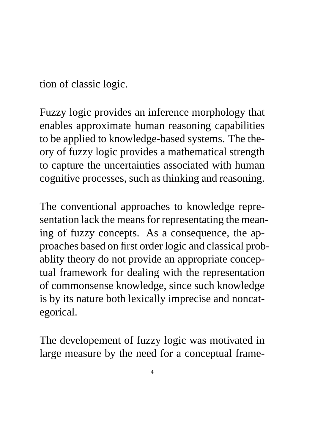tion of classic logic.

Fuzzy logic provides an inference morphology that enables approximate human reasoning capabilities to be applied to knowledge-based systems. The theory of fuzzy logic provides a mathematical strength to capture the uncertainties associated with human cognitive processes, such as thinking and reasoning.

The conventional approaches to knowledge representation lack the means for representating the meaning of fuzzy concepts. As a consequence, the approaches based on first order logic and classical probablity theory do not provide an appropriate conceptual framework for dealing with the representation of commonsense knowledge, since such knowledge is by its nature both lexically imprecise and noncategorical.

The developement of fuzzy logic was motivated in large measure by the need for a conceptual frame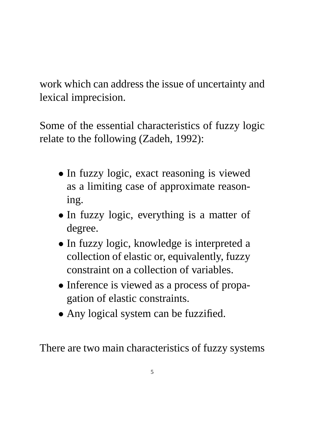work which can address the issue of uncertainty and lexical imprecision.

Some of the essential characteristics of fuzzy logic relate to the following (Zadeh, 1992):

- In fuzzy logic, exact reasoning is viewed as a limiting case of approximate reasoning.
- In fuzzy logic, everything is a matter of degree.
- In fuzzy logic, knowledge is interpreted a collection of elastic or, equivalently, fuzzy constraint on a collection of variables.
- Inference is viewed as a process of propagation of elastic constraints.
- Any logical system can be fuzzified.

There are two main characteristics of fuzzy systems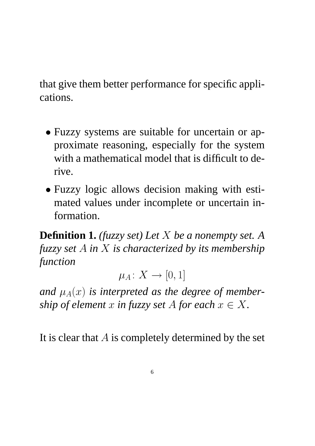that give them better performance for specific applications.

- Fuzzy systems are suitable for uncertain or approximate reasoning, especially for the system with a mathematical model that is difficult to derive.
- Fuzzy logic allows decision making with estimated values under incomplete or uncertain information.

**Definition 1.** *(fuzzy set) Let* X *be a nonempty set. A fuzzy set* A *in* X *is characterized by its membership function*

 $\mu_A\colon X\to [0,1]$ 

and  $\mu_A(x)$  *is interpreted as the degree of membership of element* x *in fuzzy set* A *for each*  $x \in X$ .

It is clear that  $A$  is completely determined by the set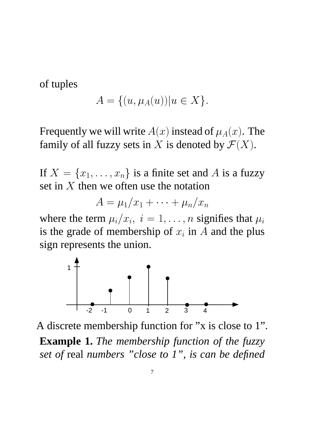of tuples

$$
A = \{(u, \mu_A(u)) | u \in X\}.
$$

Frequently we will write  $A(x)$  instead of  $\mu_A(x)$ . The family of all fuzzy sets in X is denoted by  $\mathcal{F}(X)$ .

If  $X = \{x_1, \ldots, x_n\}$  is a finite set and A is a fuzzy set in  $X$  then we often use the notation

$$
A=\mu_1/x_1+\cdots+\mu_n/x_n
$$

where the term  $\mu_i/x_i$ ,  $i = 1, \ldots, n$  signifies that  $\mu_i$ is the grade of membership of  $x_i$  in A and the plus sign represents the union.



A discrete membership function for "x is close to 1".

**Example 1.** *The membership function of the fuzzy set of* real *numbers "close to 1", is can be defined*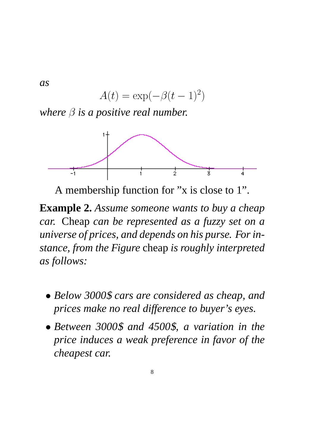*as*

$$
A(t) = \exp(-\beta(t-1)^2)
$$

*where*  $β$  *is a positive real number.* 



A membership function for "x is close to 1".

**Example 2.** *Assume someone wants to buy a cheap car.* Cheap *can be represented as a fuzzy set on a universe of prices, and depends on his purse. For instance, from the Figure* cheap *is roughly interpreted as follows:*

- *Below 3000*\$ *cars are considered as cheap, and prices make no real difference to buyer's eyes.*
- *Between 3000*\$ *and 4500*\$*, a variation in the price induces a weak preference in favor of the cheapest car.*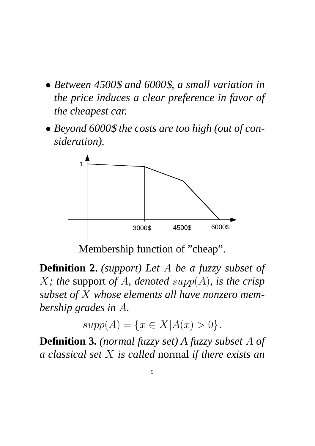- *Between 4500*\$ *and 6000*\$*, a small variation in the price induces a clear preference in favor of the cheapest car.*
- *Beyond 6000*\$ *the costs are too high (out of consideration).*



Membership function of "cheap".

**Definition 2.** *(support) Let* A *be a fuzzy subset of* X*; the* support *of* A*, denoted* supp(A)*, is the crisp subset of* X *whose elements all have nonzero membership grades in* A*.*

 $supp(A) = \{x \in X | A(x) > 0\}.$ 

**Definition 3.** *(normal fuzzy set) A fuzzy subset* A *of a classical set* X *is called* normal *if there exists an*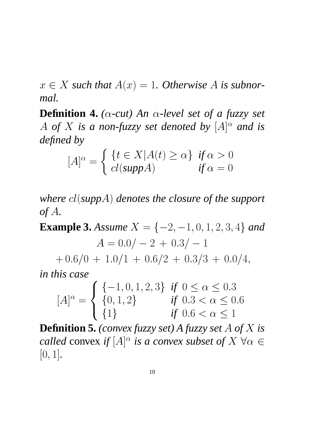$x \in X$  such that  $A(x) = 1$ . Otherwise A is subnor*mal.*

**Definition 4.** *(*α*-cut) An* α*-level set of a fuzzy set* A of X is a non-fuzzy set denoted by  $[A]^\alpha$  and is *defined by*

$$
[A]^\alpha = \begin{cases} \{t \in X | A(t) \ge \alpha\} & \text{if } \alpha > 0\\ \text{cl}(\text{supp}A) & \text{if } \alpha = 0 \end{cases}
$$

*where* cl(*supp*A) *denotes the closure of the support of* A*.*

**Example 3.** *Assume*  $X = \{-2, -1, 0, 1, 2, 3, 4\}$  *and*  $A = 0.0/-2+0.3/-1$  $+0.6/0+1.0/1+0.6/2+0.3/3+0.0/4,$ *in this case*

$$
[A]^{\alpha} = \begin{cases} \{-1, 0, 1, 2, 3\} & \text{if } 0 \le \alpha \le 0.3\\ \{0, 1, 2\} & \text{if } 0.3 < \alpha \le 0.6\\ \{1\} & \text{if } 0.6 < \alpha \le 1 \end{cases}
$$

**Definition 5.** *(convex fuzzy set) A fuzzy set* A *of* X *is called* convex *if*  $[A]^\alpha$  *is a convex subset of*  $X \ \forall \alpha \in$ [0, 1]*.*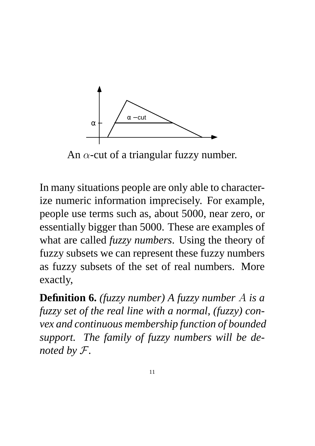

An  $\alpha$ -cut of a triangular fuzzy number.

In many situations people are only able to characterize numeric information imprecisely. For example, people use terms such as, about 5000, near zero, or essentially bigger than 5000. These are examples of what are called *fuzzy numbers*. Using the theory of fuzzy subsets we can represent these fuzzy numbers as fuzzy subsets of the set of real numbers. More exactly,

**Definition 6.** *(fuzzy number) A fuzzy number* A *is a fuzzy set of the real line with a normal, (fuzzy) convex and continuous membership function of bounded support. The family of fuzzy numbers will be denoted by* F*.*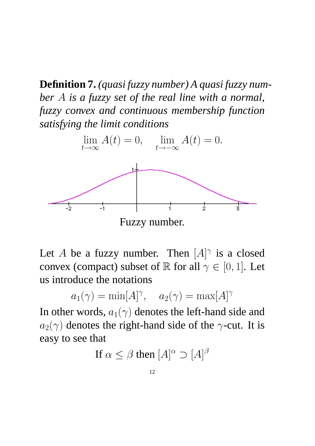**Definition 7.** *(quasi fuzzy number) A quasi fuzzy number* A *is a fuzzy set of the real line with a normal, fuzzy convex and continuous membership function satisfying the limit conditions*



Let A be a fuzzy number. Then  $[A]^\gamma$  is a closed convex (compact) subset of R for all  $\gamma \in [0, 1]$ . Let us introduce the notations

$$
a_1(\gamma) = \min[A]^\gamma
$$
,  $a_2(\gamma) = \max[A]^\gamma$ 

In other words,  $a_1(\gamma)$  denotes the left-hand side and  $a_2(\gamma)$  denotes the right-hand side of the  $\gamma$ -cut. It is easy to see that

If 
$$
\alpha \le \beta
$$
 then  $[A]^{\alpha} \supset [A]^{\beta}$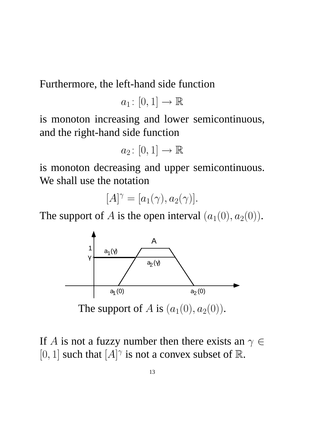Furthermore, the left-hand side function

$$
a_1\colon [0,1]\to \mathbb{R}
$$

is monoton increasing and lower semicontinuous, and the right-hand side function

$$
a_2\colon [0,1]\to \mathbb{R}
$$

is monoton decreasing and upper semicontinuous. We shall use the notation

$$
[A]^\gamma = [a_1(\gamma), a_2(\gamma)].
$$

The support of A is the open interval  $(a_1(0), a_2(0))$ .



The support of A is  $(a_1(0), a_2(0))$ .

If A is not a fuzzy number then there exists an  $\gamma \in$ [0, 1] such that  $[A]^\gamma$  is not a convex subset of  $\mathbb R$ .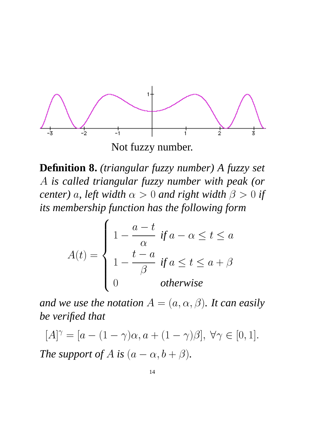

**Definition 8.** *(triangular fuzzy number) A fuzzy set* A *is called triangular fuzzy number with peak (or center*) *a, left width*  $\alpha > 0$  *and right width*  $\beta > 0$  *if its membership function has the following form*

$$
A(t) = \begin{cases} 1 - \frac{a - t}{\alpha} & \text{if } a - \alpha \le t \le a \\ 1 - \frac{t - a}{\beta} & \text{if } a \le t \le a + \beta \\ 0 & \text{otherwise} \end{cases}
$$

*and we use the notation*  $A = (a, \alpha, \beta)$ *. It can easily be verified that*

 $[A]^{\gamma} = [a - (1 - \gamma)\alpha, a + (1 - \gamma)\beta], \forall \gamma \in [0, 1].$ *The support of A is*  $(a - \alpha, b + \beta)$ *.*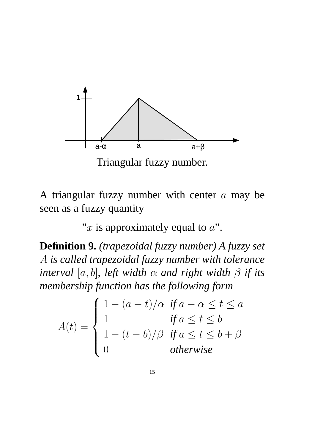

Triangular fuzzy number.

A triangular fuzzy number with center  $a$  may be seen as a fuzzy quantity

"x is approximately equal to  $a$ ".

**Definition 9.** *(trapezoidal fuzzy number) A fuzzy set* A *is called trapezoidal fuzzy number with tolerance interval* [a, b], left width  $\alpha$  and right width  $\beta$  if its *membership function has the following form*

 $A(t)=$  $\int$  $\int$  $\overline{\mathcal{L}}$  $1 - (a - t)/\alpha$  *if*  $a - \alpha \leq t \leq a$ 1  $\qquad \qquad \text{if } a \leq t \leq b$  $1 - (t - b)/\beta$  *if*  $a \le t \le b + \beta$ 0 *otherwise*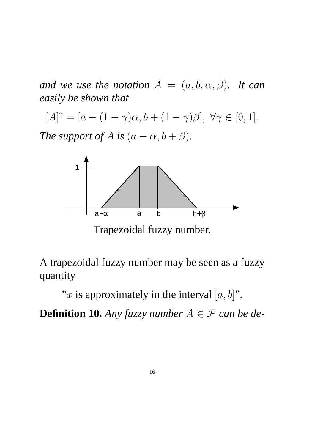*and we use the notation*  $A = (a, b, \alpha, \beta)$ *. It can easily be shown that*

 $[A]^{\gamma} = [a - (1 - \gamma)\alpha, b + (1 - \gamma)\beta], \forall \gamma \in [0, 1].$ 

*The support of A is*  $(a - \alpha, b + \beta)$ *.* 



Trapezoidal fuzzy number.

A trapezoidal fuzzy number may be seen as a fuzzy quantity

"x is approximately in the interval  $[a, b]$ ".

**Definition 10.** *Any fuzzy number*  $A \in \mathcal{F}$  *can be de-*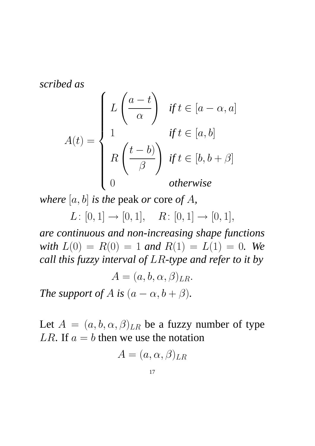*scribed as*

$$
A(t) = \begin{cases} L\left(\frac{a-t}{\alpha}\right) & \text{if } t \in [a-\alpha, a] \\ 1 & \text{if } t \in [a, b] \\ R\left(\frac{t-b}{\beta}\right) & \text{if } t \in [b, b+\beta] \\ 0 & \text{otherwise} \end{cases}
$$

*where* [a, b] *is the* peak *or* core *of* A*,*

 $L: [0, 1] \rightarrow [0, 1], \quad R: [0, 1] \rightarrow [0, 1],$ 

*are continuous and non-increasing shape functions with*  $L(0) = R(0) = 1$  *and*  $R(1) = L(1) = 0$ *. We call this fuzzy interval of* LR*-type and refer to it by*

 $A = (a, b, \alpha, \beta)_{LR}.$ 

*The support of A is*  $(a - \alpha, b + \beta)$ *.* 

Let  $A = (a, b, \alpha, \beta)_{LR}$  be a fuzzy number of type LR. If  $a = b$  then we use the notation

$$
A=(a,\alpha,\beta)_{LR}
$$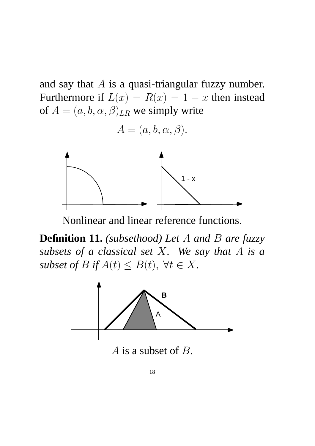and say that  $A$  is a quasi-triangular fuzzy number. Furthermore if  $L(x) = R(x) = 1 - x$  then instead of  $A = (a, b, \alpha, \beta)_{LR}$  we simply write

$$
A = (a, b, \alpha, \beta).
$$



Nonlinear and linear reference functions.

**Definition 11.** *(subsethood) Let* A *and* B *are fuzzy subsets of a classical set* X*. We say that* A *is a subset of*  $B$  *if*  $A(t) \leq B(t)$ ,  $\forall t \in X$ .

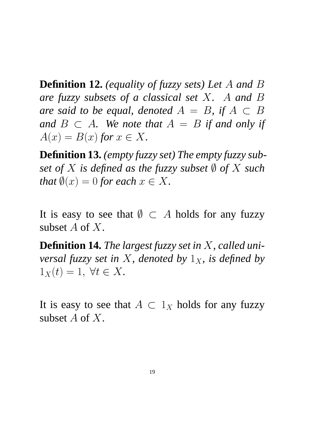**Definition 12.** *(equality of fuzzy sets) Let* A *and* B *are fuzzy subsets of a classical set* X*.* A *and* B *are said to be equal, denoted*  $A = B$ *, if*  $A \subset B$ *and*  $B \subset A$ *. We note that*  $A = B$  *if and only if*  $A(x) = B(x)$  for  $x \in X$ .

**Definition 13.** *(empty fuzzy set) The empty fuzzy subset of* X *is defined as the fuzzy subset*  $\emptyset$  *of* X *such that*  $\emptyset(x) = 0$  *for each*  $x \in X$ *.* 

It is easy to see that  $\emptyset \subset A$  holds for any fuzzy subset A of X.

**Definition 14.** *The largest fuzzy set in* X*, called universal fuzzy set in* X, denoted by  $1_X$ , is defined by  $1_X(t)=1, \forall t \in X.$ 

It is easy to see that  $A \subset 1_X$  holds for any fuzzy subset A of X.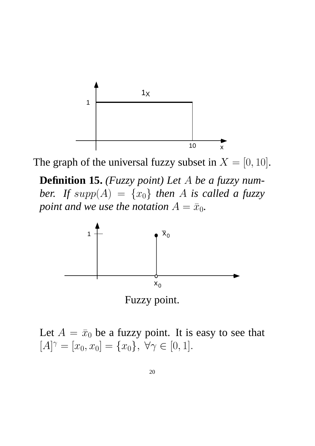

The graph of the universal fuzzy subset in  $X = [0, 10]$ .

**Definition 15.** *(Fuzzy point) Let* A *be a fuzzy number.* If  $supp(A) = \{x_0\}$  *then* A *is called a fuzzy point and we use the notation*  $A = \bar{x}_0$ *.* 





Let  $A = \bar{x}_0$  be a fuzzy point. It is easy to see that  $[A]^{\gamma} = [x_0, x_0] = \{x_0\}, \forall \gamma \in [0, 1].$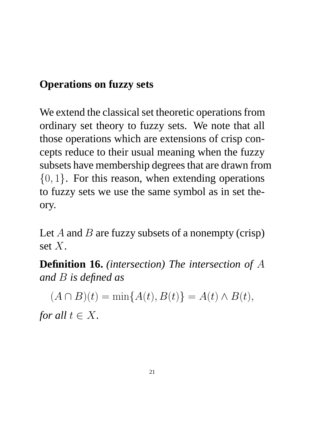## **Operations on fuzzy sets**

We extend the classical set theoretic operations from ordinary set theory to fuzzy sets. We note that all those operations which are extensions of crisp concepts reduce to their usual meaning when the fuzzy subsets have membership degrees that are drawn from  $\{0, 1\}$ . For this reason, when extending operations to fuzzy sets we use the same symbol as in set theory.

Let A and B are fuzzy subsets of a nonempty (crisp) set X.

**Definition 16.** *(intersection) The intersection of* A *and* B *is defined as*

 $(A \cap B)(t) = \min\{A(t), B(t)\} = A(t) \wedge B(t),$ *for all*  $t \in X$ *.*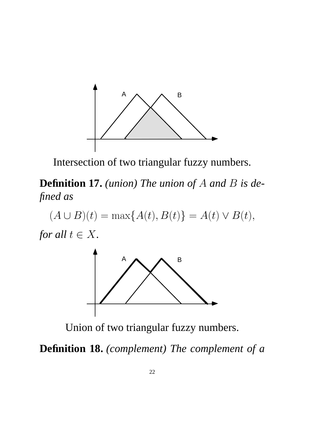

Intersection of two triangular fuzzy numbers.

**Definition 17.** *(union) The union of* A *and* B *is defined as*

 $(A \cup B)(t) = \max\{A(t), B(t)\} = A(t) \vee B(t),$ 





Union of two triangular fuzzy numbers.

**Definition 18.** *(complement) The complement of a*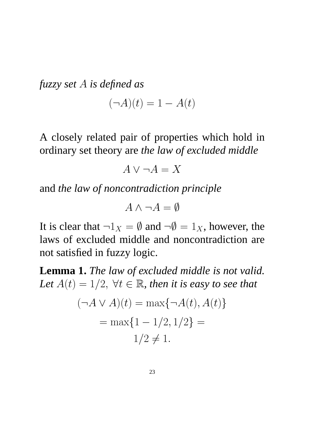*fuzzy set A is defined as*  

$$
(\neg A)(t) = 1 - A(t)
$$

A closely related pair of properties which hold in ordinary set theory are *the law of excluded middle*

$$
A \lor \neg A = X
$$

and *the law of noncontradiction principle*

$$
A \wedge \neg A = \emptyset
$$

It is clear that  $\neg 1_X = \emptyset$  and  $\neg \emptyset = 1_X$ , however, the laws of excluded middle and noncontradiction are not satisfied in fuzzy logic.

**Lemma 1.** *The law of excluded middle is not valid.* Let  $A(t)=1/2$ ,  $\forall t \in \mathbb{R}$ , then it is easy to see that

$$
(\neg A \lor A)(t) = \max{\neg A(t), A(t)}
$$

$$
= \max{1 - 1/2, 1/2} =
$$

$$
1/2 \neq 1.
$$